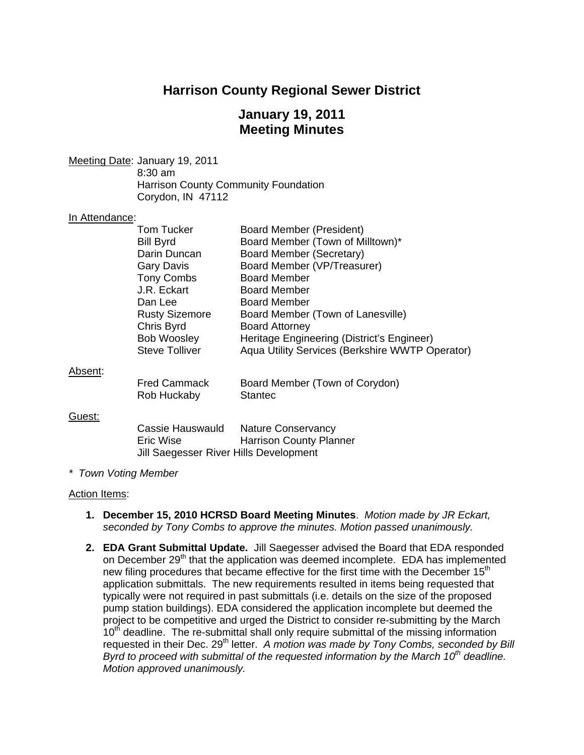# **Harrison County Regional Sewer District**

# **January 19, 2011 Meeting Minutes**

Meeting Date: January 19, 2011 8:30 am Harrison County Community Foundation Corydon, IN 47112

#### In Attendance:

| Tom Tucker                                                                                 | <b>Board Member (President)</b><br>Board Member (Town of Milltown)*                             |
|--------------------------------------------------------------------------------------------|-------------------------------------------------------------------------------------------------|
| Darin Duncan                                                                               | Board Member (Secretary)                                                                        |
| Gary Davis                                                                                 | Board Member (VP/Treasurer)                                                                     |
| <b>Tony Combs</b>                                                                          | <b>Board Member</b>                                                                             |
| J.R. Eckart                                                                                | <b>Board Member</b>                                                                             |
| Dan Lee                                                                                    | <b>Board Member</b>                                                                             |
|                                                                                            | Board Member (Town of Lanesville)                                                               |
|                                                                                            | <b>Board Attorney</b>                                                                           |
|                                                                                            | Heritage Engineering (District's Engineer)                                                      |
|                                                                                            | Aqua Utility Services (Berkshire WWTP Operator)                                                 |
|                                                                                            |                                                                                                 |
| <b>Fred Cammack</b>                                                                        | Board Member (Town of Corydon)                                                                  |
| Rob Huckaby                                                                                | <b>Stantec</b>                                                                                  |
|                                                                                            |                                                                                                 |
| Cassie Hauswauld Nature Conservancy<br>Eric Wise<br>Jill Saegesser River Hills Development | <b>Harrison County Planner</b>                                                                  |
|                                                                                            | <b>Bill Byrd</b><br><b>Rusty Sizemore</b><br>Chris Byrd<br>Bob Woosley<br><b>Steve Tolliver</b> |

#### *\* Town Voting Member*

#### Action Items:

- **1. December 15, 2010 HCRSD Board Meeting Minutes**. *Motion made by JR Eckart, seconded by Tony Combs to approve the minutes. Motion passed unanimously.*
- **2. EDA Grant Submittal Update.** Jill Saegesser advised the Board that EDA responded on December 29<sup>th</sup> that the application was deemed incomplete. EDA has implemented new filing procedures that became effective for the first time with the December  $15<sup>th</sup>$ application submittals. The new requirements resulted in items being requested that typically were not required in past submittals (i.e. details on the size of the proposed pump station buildings). EDA considered the application incomplete but deemed the project to be competitive and urged the District to consider re-submitting by the March 10<sup>th</sup> deadline. The re-submittal shall only require submittal of the missing information requested in their Dec. 29<sup>th</sup> letter. A motion was made by Tony Combs, seconded by Bill *Byrd to proceed with submittal of the requested information by the March 10th deadline. Motion approved unanimously.*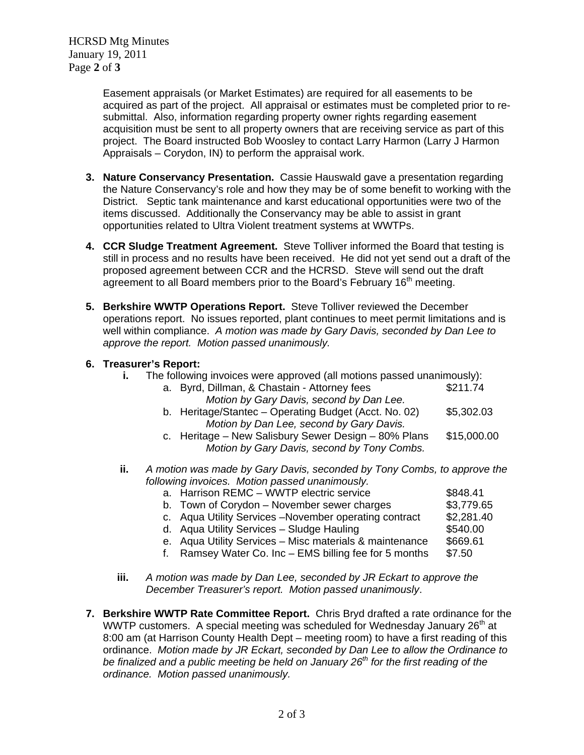HCRSD Mtg Minutes January 19, 2011 Page **2** of **3**

> Easement appraisals (or Market Estimates) are required for all easements to be acquired as part of the project. All appraisal or estimates must be completed prior to resubmittal. Also, information regarding property owner rights regarding easement acquisition must be sent to all property owners that are receiving service as part of this project. The Board instructed Bob Woosley to contact Larry Harmon (Larry J Harmon Appraisals – Corydon, IN) to perform the appraisal work.

- **3. Nature Conservancy Presentation.** Cassie Hauswald gave a presentation regarding the Nature Conservancy's role and how they may be of some benefit to working with the District. Septic tank maintenance and karst educational opportunities were two of the items discussed. Additionally the Conservancy may be able to assist in grant opportunities related to Ultra Violent treatment systems at WWTPs.
- **4. CCR Sludge Treatment Agreement.** Steve Tolliver informed the Board that testing is still in process and no results have been received. He did not yet send out a draft of the proposed agreement between CCR and the HCRSD. Steve will send out the draft agreement to all Board members prior to the Board's February 16<sup>th</sup> meeting.
- **5. Berkshire WWTP Operations Report.** Steve Tolliver reviewed the December operations report. No issues reported, plant continues to meet permit limitations and is well within compliance. *A motion was made by Gary Davis, seconded by Dan Lee to approve the report. Motion passed unanimously.*

## **6. Treasurer's Report:**

| j. | The following invoices were approved (all motions passed unanimously): |                                                                                                     |             |  |
|----|------------------------------------------------------------------------|-----------------------------------------------------------------------------------------------------|-------------|--|
|    |                                                                        | a. Byrd, Dillman, & Chastain - Attorney fees                                                        | \$211.74    |  |
|    |                                                                        | Motion by Gary Davis, second by Dan Lee.                                                            |             |  |
|    |                                                                        | b. Heritage/Stantec - Operating Budget (Acct. No. 02)                                               | \$5,302.03  |  |
|    |                                                                        | Motion by Dan Lee, second by Gary Davis.                                                            |             |  |
|    |                                                                        | c. Heritage - New Salisbury Sewer Design - 80% Plans<br>Motion by Gary Davis, second by Tony Combs. | \$15,000.00 |  |
|    |                                                                        |                                                                                                     |             |  |

- **ii.** *A motion was made by Gary Davis, seconded by Tony Combs, to approve the following invoices. Motion passed unanimously.*
	- a. Harrison REMC WWTP electric service  $$848.41$ b. Town of Corydon – November sewer charges \$3,779.65 c. Aqua Utility Services –November operating contract  $$2,281.40$ <br>d. Aqua Utility Services – Sludge Hauling  $$540.00$ d. Aqua Utility Services – Sludge Hauling **by the Station (S540.00** \$540.00)<br>e. Aqua Utility Services – Misc materials & maintenance \$669.61
		- e. Aqua Utility Services Misc materials & maintenance
		- f. Ramsey Water Co. Inc EMS billing fee for 5 months  $$7.50$
- **iii.** *A motion was made by Dan Lee, seconded by JR Eckart to approve the December Treasurer's report. Motion passed unanimously*.
- **7. Berkshire WWTP Rate Committee Report.** Chris Bryd drafted a rate ordinance for the WWTP customers. A special meeting was scheduled for Wednesday January 26<sup>th</sup> at 8:00 am (at Harrison County Health Dept – meeting room) to have a first reading of this ordinance. *Motion made by JR Eckart, seconded by Dan Lee to allow the Ordinance to be finalized and a public meeting be held on January 26th for the first reading of the ordinance. Motion passed unanimously.*